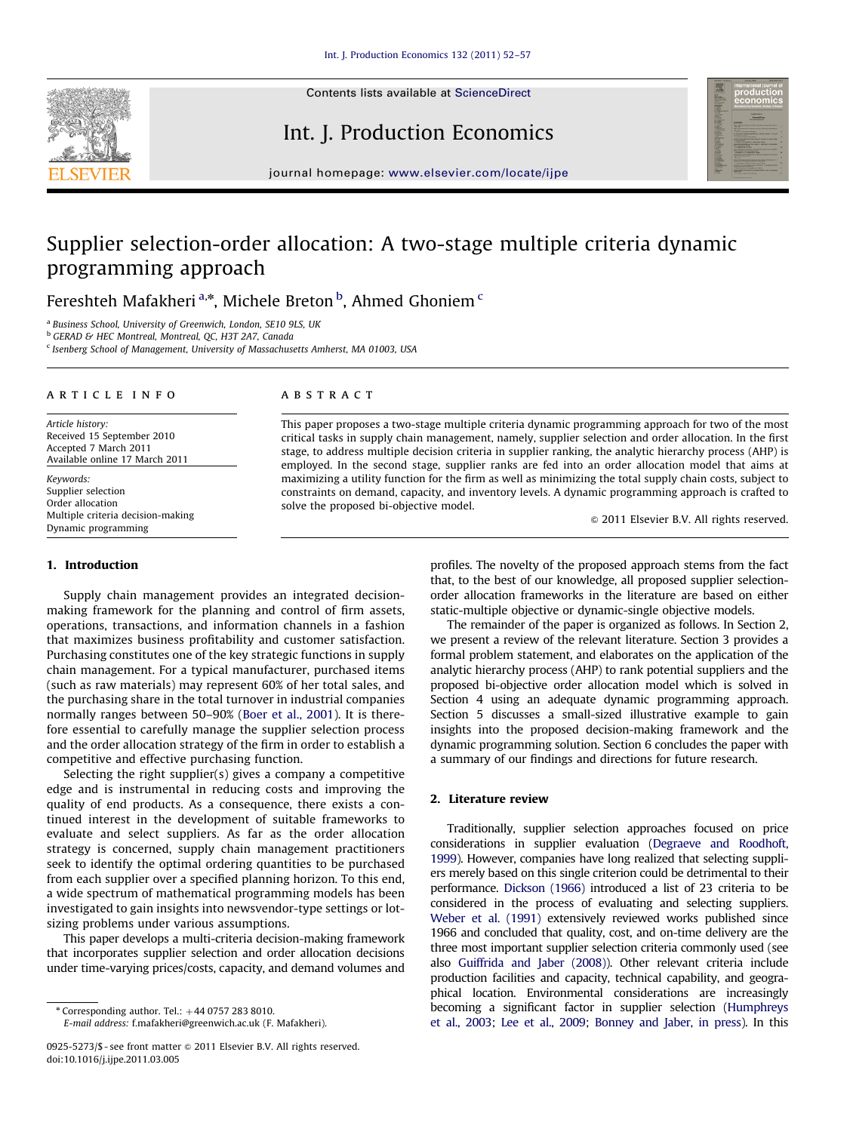

### Int. J. Production Economics



journal homepage: <www.elsevier.com/locate/ijpe>

## Supplier selection-order allocation: A two-stage multiple criteria dynamic programming approach

Fereshteh Mafakheri<sup>a,\*</sup>, Michele Breton <sup>b</sup>, Ahmed Ghoniem <sup>c</sup>

<sup>a</sup> Business School, University of Greenwich, London, SE10 9LS, UK

<sup>b</sup> GERAD & HEC Montreal, Montreal, QC, H3T 2A7, Canada

 $c$  Isenberg School of Management, University of Massachusetts Amherst, MA 01003, USA

#### article info

Article history: Received 15 September 2010 Accepted 7 March 2011 Available online 17 March 2011

Keywords: Supplier selection Order allocation Multiple criteria decision-making Dynamic programming

#### 1. Introduction

Supply chain management provides an integrated decisionmaking framework for the planning and control of firm assets, operations, transactions, and information channels in a fashion that maximizes business profitability and customer satisfaction. Purchasing constitutes one of the key strategic functions in supply chain management. For a typical manufacturer, purchased items (such as raw materials) may represent 60% of her total sales, and the purchasing share in the total turnover in industrial companies normally ranges between 50–90% [\(Boer et al., 2001](#page--1-0)). It is therefore essential to carefully manage the supplier selection process and the order allocation strategy of the firm in order to establish a competitive and effective purchasing function.

Selecting the right supplier(s) gives a company a competitive edge and is instrumental in reducing costs and improving the quality of end products. As a consequence, there exists a continued interest in the development of suitable frameworks to evaluate and select suppliers. As far as the order allocation strategy is concerned, supply chain management practitioners seek to identify the optimal ordering quantities to be purchased from each supplier over a specified planning horizon. To this end, a wide spectrum of mathematical programming models has been investigated to gain insights into newsvendor-type settings or lotsizing problems under various assumptions.

This paper develops a multi-criteria decision-making framework that incorporates supplier selection and order allocation decisions under time-varying prices/costs, capacity, and demand volumes and

E-mail address: [f.mafakheri@greenwich.ac.uk \(F. Mafakheri\).](mailto:fereshteh.mafakheri@hec.ca)

#### **ABSTRACT**

This paper proposes a two-stage multiple criteria dynamic programming approach for two of the most critical tasks in supply chain management, namely, supplier selection and order allocation. In the first stage, to address multiple decision criteria in supplier ranking, the analytic hierarchy process (AHP) is employed. In the second stage, supplier ranks are fed into an order allocation model that aims at maximizing a utility function for the firm as well as minimizing the total supply chain costs, subject to constraints on demand, capacity, and inventory levels. A dynamic programming approach is crafted to solve the proposed bi-objective model.

 $@$  2011 Elsevier B.V. All rights reserved.

profiles. The novelty of the proposed approach stems from the fact that, to the best of our knowledge, all proposed supplier selectionorder allocation frameworks in the literature are based on either static-multiple objective or dynamic-single objective models.

The remainder of the paper is organized as follows. In Section 2, we present a review of the relevant literature. Section 3 provides a formal problem statement, and elaborates on the application of the analytic hierarchy process (AHP) to rank potential suppliers and the proposed bi-objective order allocation model which is solved in Section 4 using an adequate dynamic programming approach. Section 5 discusses a small-sized illustrative example to gain insights into the proposed decision-making framework and the dynamic programming solution. Section 6 concludes the paper with a summary of our findings and directions for future research.

#### 2. Literature review

Traditionally, supplier selection approaches focused on price considerations in supplier evaluation ([Degraeve and Roodhoft,](#page--1-0) [1999](#page--1-0)). However, companies have long realized that selecting suppliers merely based on this single criterion could be detrimental to their performance. [Dickson \(1966\)](#page--1-0) introduced a list of 23 criteria to be considered in the process of evaluating and selecting suppliers. [Weber et al. \(1991\)](#page--1-0) extensively reviewed works published since 1966 and concluded that quality, cost, and on-time delivery are the three most important supplier selection criteria commonly used (see also [Guiffrida and Jaber \(2008\)\)](#page--1-0). Other relevant criteria include production facilities and capacity, technical capability, and geographical location. Environmental considerations are increasingly becoming a significant factor in supplier selection [\(Humphreys](#page--1-0) [et al., 2003;](#page--1-0) [Lee et al., 2009](#page--1-0); [Bonney and Jaber, in press](#page--1-0)). In this

 $*$  Corresponding author. Tel.:  $+44$  0757 283 8010.

<sup>0925-5273/\$ -</sup> see front matter  $\odot$  2011 Elsevier B.V. All rights reserved. doi:[10.1016/j.ijpe.2011.03.005](dx.doi.org/10.1016/j.ijpe.2011.03.005)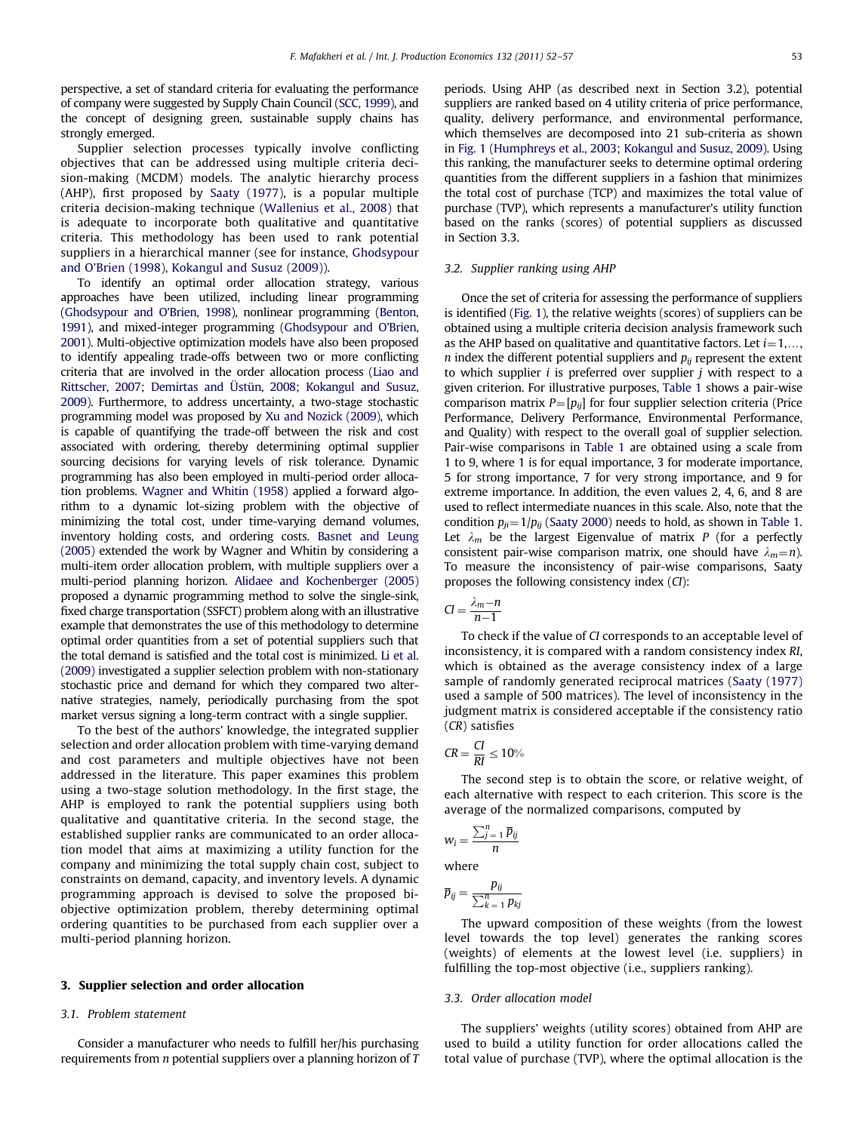perspective, a set of standard criteria for evaluating the performance of company were suggested by Supply Chain Council ([SCC, 1999](#page--1-0)), and the concept of designing green, sustainable supply chains has strongly emerged.

Supplier selection processes typically involve conflicting objectives that can be addressed using multiple criteria decision-making (MCDM) models. The analytic hierarchy process (AHP), first proposed by [Saaty \(1977\),](#page--1-0) is a popular multiple criteria decision-making technique [\(Wallenius et al., 2008\)](#page--1-0) that is adequate to incorporate both qualitative and quantitative criteria. This methodology has been used to rank potential suppliers in a hierarchical manner (see for instance, [Ghodsypour](#page--1-0) [and O'Brien \(1998\),](#page--1-0) [Kokangul and Susuz \(2009\)](#page--1-0)).

To identify an optimal order allocation strategy, various approaches have been utilized, including linear programming [\(Ghodsypour and O'Brien, 1998\)](#page--1-0), nonlinear programming [\(Benton,](#page--1-0) [1991\)](#page--1-0), and mixed-integer programming [\(Ghodsypour and O'Brien,](#page--1-0) [2001\)](#page--1-0). Multi-objective optimization models have also been proposed to identify appealing trade-offs between two or more conflicting criteria that are involved in the order allocation process [\(Liao and](#page--1-0) [Rittscher, 2007;](#page--1-0) [Demirtas and](#page--1-0) Üstün, 2008; [Kokangul and Susuz,](#page--1-0) [2009\)](#page--1-0). Furthermore, to address uncertainty, a two-stage stochastic programming model was proposed by [Xu and Nozick \(2009\),](#page--1-0) which is capable of quantifying the trade-off between the risk and cost associated with ordering, thereby determining optimal supplier sourcing decisions for varying levels of risk tolerance. Dynamic programming has also been employed in multi-period order allocation problems. [Wagner and Whitin \(1958\)](#page--1-0) applied a forward algorithm to a dynamic lot-sizing problem with the objective of minimizing the total cost, under time-varying demand volumes, inventory holding costs, and ordering costs. [Basnet and Leung](#page--1-0) [\(2005\)](#page--1-0) extended the work by Wagner and Whitin by considering a multi-item order allocation problem, with multiple suppliers over a multi-period planning horizon. [Alidaee and Kochenberger \(2005\)](#page--1-0) proposed a dynamic programming method to solve the single-sink, fixed charge transportation (SSFCT) problem along with an illustrative example that demonstrates the use of this methodology to determine optimal order quantities from a set of potential suppliers such that the total demand is satisfied and the total cost is minimized. [Li et al.](#page--1-0) [\(2009\)](#page--1-0) investigated a supplier selection problem with non-stationary stochastic price and demand for which they compared two alternative strategies, namely, periodically purchasing from the spot market versus signing a long-term contract with a single supplier.

To the best of the authors' knowledge, the integrated supplier selection and order allocation problem with time-varying demand and cost parameters and multiple objectives have not been addressed in the literature. This paper examines this problem using a two-stage solution methodology. In the first stage, the AHP is employed to rank the potential suppliers using both qualitative and quantitative criteria. In the second stage, the established supplier ranks are communicated to an order allocation model that aims at maximizing a utility function for the company and minimizing the total supply chain cost, subject to constraints on demand, capacity, and inventory levels. A dynamic programming approach is devised to solve the proposed biobjective optimization problem, thereby determining optimal ordering quantities to be purchased from each supplier over a multi-period planning horizon.

#### 3. Supplier selection and order allocation

#### 3.1. Problem statement

Consider a manufacturer who needs to fulfill her/his purchasing requirements from  $n$  potential suppliers over a planning horizon of  $T$  periods. Using AHP (as described next in Section 3.2), potential suppliers are ranked based on 4 utility criteria of price performance, quality, delivery performance, and environmental performance, which themselves are decomposed into 21 sub-criteria as shown in [Fig. 1](#page--1-0) [\(Humphreys et al., 2003](#page--1-0); [Kokangul and Susuz, 2009\)](#page--1-0). Using this ranking, the manufacturer seeks to determine optimal ordering quantities from the different suppliers in a fashion that minimizes the total cost of purchase (TCP) and maximizes the total value of purchase (TVP), which represents a manufacturer's utility function based on the ranks (scores) of potential suppliers as discussed in Section 3.3.

#### 3.2. Supplier ranking using AHP

Once the set of criteria for assessing the performance of suppliers is identified [\(Fig. 1\)](#page--1-0), the relative weights (scores) of suppliers can be obtained using a multiple criteria decision analysis framework such as the AHP based on qualitative and quantitative factors. Let  $i=1,\ldots,$ *n* index the different potential suppliers and  $p_{ii}$  represent the extent to which supplier  $i$  is preferred over supplier  $j$  with respect to a given criterion. For illustrative purposes, [Table 1](#page--1-0) shows a pair-wise comparison matrix  $P=[p_{ij}]$  for four supplier selection criteria (Price Performance, Delivery Performance, Environmental Performance, and Quality) with respect to the overall goal of supplier selection. Pair-wise comparisons in [Table 1](#page--1-0) are obtained using a scale from 1 to 9, where 1 is for equal importance, 3 for moderate importance, 5 for strong importance, 7 for very strong importance, and 9 for extreme importance. In addition, the even values 2, 4, 6, and 8 are used to reflect intermediate nuances in this scale. Also, note that the condition  $p_{ji}=1/p_{ij}$  [\(Saaty 2000\)](#page--1-0) needs to hold, as shown in [Table 1.](#page--1-0) Let  $\lambda_m$  be the largest Eigenvalue of matrix P (for a perfectly consistent pair-wise comparison matrix, one should have  $\lambda_m = n$ ). To measure the inconsistency of pair-wise comparisons, Saaty proposes the following consistency index (CI):

$$
CI = \frac{\lambda_m - n}{n - 1}
$$

To check if the value of CI corresponds to an acceptable level of inconsistency, it is compared with a random consistency index RI, which is obtained as the average consistency index of a large sample of randomly generated reciprocal matrices ([Saaty \(1977\)](#page--1-0) used a sample of 500 matrices). The level of inconsistency in the judgment matrix is considered acceptable if the consistency ratio (CR) satisfies

$$
CR = \frac{CI}{RI} \le 10\%
$$

The second step is to obtain the score, or relative weight, of each alternative with respect to each criterion. This score is the average of the normalized comparisons, computed by

$$
w_i = \frac{\sum_{j=1}^n \overline{p}_{ij}}{n}
$$

where

$$
\overline{p}_{ij} = \frac{p_{ij}}{\sum_{k=1}^{n} p_{kj}}
$$

The upward composition of these weights (from the lowest level towards the top level) generates the ranking scores (weights) of elements at the lowest level (i.e. suppliers) in fulfilling the top-most objective (i.e., suppliers ranking).

#### 3.3. Order allocation model

The suppliers' weights (utility scores) obtained from AHP are used to build a utility function for order allocations called the total value of purchase (TVP), where the optimal allocation is the